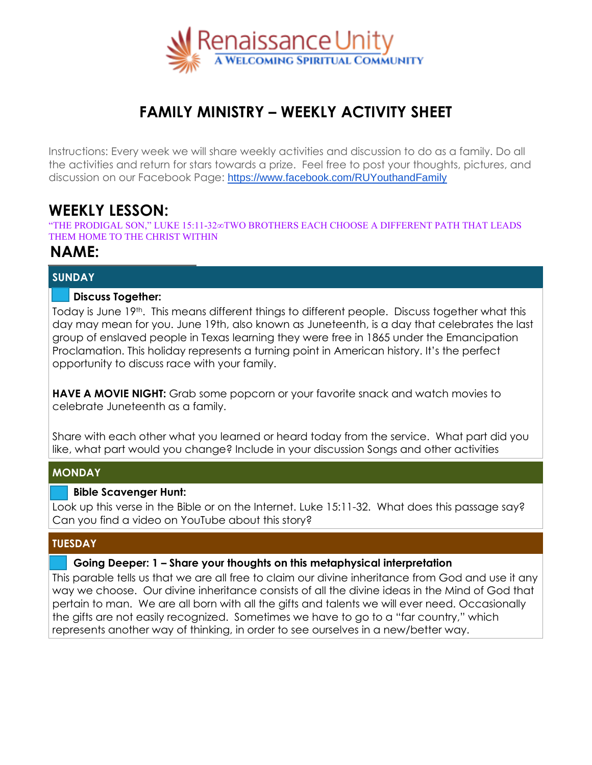

# **FAMILY MINISTRY – WEEKLY ACTIVITY SHEET**

Instructions: Every week we will share weekly activities and discussion to do as a family. Do all the activities and return for stars towards a prize. Feel free to post your thoughts, pictures, and discussion on our Facebook Page: <https://www.facebook.com/RUYouthandFamily>

## **WEEKLY LESSON:**

"THE PRODIGAL SON," LUKE 15:11-32∞TWO BROTHERS EACH CHOOSE A DIFFERENT PATH THAT LEADS THEM HOME TO THE CHRIST WITHIN

### **NAME:**

#### **SUNDAY**

#### **Discuss Together:**

Today is June 19<sup>th</sup>. This means different things to different people. Discuss together what this day may mean for you. June 19th, also known as Juneteenth, is a day that celebrates the last group of enslaved people in Texas learning they were free in 1865 under the Emancipation Proclamation. This holiday represents a turning point in American history. It's the perfect opportunity to discuss race with your family.

**HAVE A MOVIE NIGHT:** Grab some popcorn or your favorite snack and watch movies to celebrate Juneteenth as a family.

Share with each other what you learned or heard today from the service. What part did you like, what part would you change? Include in your discussion Songs and other activities

#### **MONDAY**

#### **Bible Scavenger Hunt:**

Look up this verse in the Bible or on the Internet. Luke 15:11-32. What does this passage say? Can you find a video on YouTube about this story?

#### **TUESDAY**

#### **Going Deeper: 1 – Share your thoughts on this metaphysical interpretation**

This parable tells us that we are all free to claim our divine inheritance from God and use it any way we choose. Our divine inheritance consists of all the divine ideas in the Mind of God that pertain to man. We are all born with all the gifts and talents we will ever need. Occasionally the gifts are not easily recognized. Sometimes we have to go to a "far country," which represents another way of thinking, in order to see ourselves in a new/better way.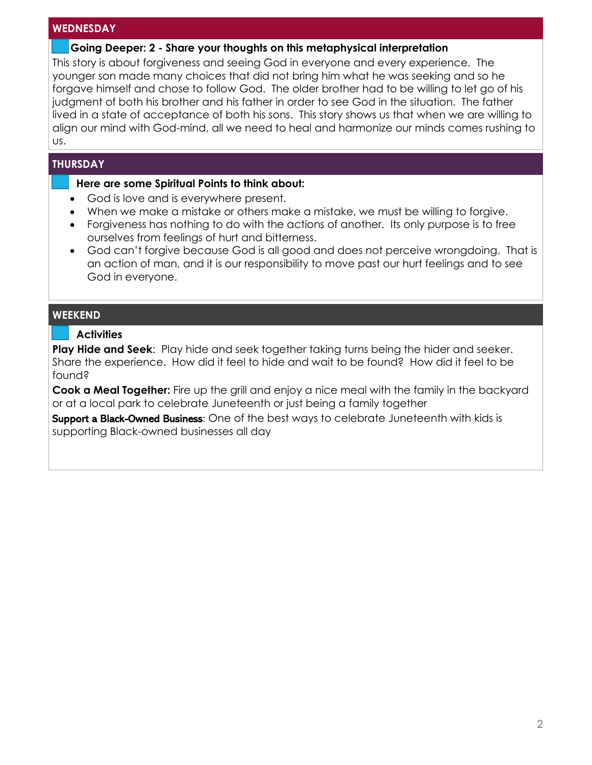#### **WEDNESDAY**

#### **Going Deeper: 2 - Share your thoughts on this metaphysical interpretation**

This story is about forgiveness and seeing God in everyone and every experience. The younger son made many choices that did not bring him what he was seeking and so he forgave himself and chose to follow God. The older brother had to be willing to let go of his judgment of both his brother and his father in order to see God in the situation. The father lived in a state of acceptance of both his sons. This story shows us that when we are willing to align our mind with God-mind, all we need to heal and harmonize our minds comes rushing to us.

#### **THURSDAY**

l

#### **Here are some Spiritual Points to think about:**

- God is love and is everywhere present.
- When we make a mistake or others make a mistake, we must be willing to forgive.
- Forgiveness has nothing to do with the actions of another. Its only purpose is to free ourselves from feelings of hurt and bitterness.
- God can't forgive because God is all good and does not perceive wrongdoing. That is an action of man, and it is our responsibility to move past our hurt feelings and to see God in everyone.

#### **WEEKEND**

#### **Activities** l

**Play Hide and Seek**: Play hide and seek together taking turns being the hider and seeker. Share the experience. How did it feel to hide and wait to be found? How did it feel to be found?

**Cook a Meal Together:** Fire up the grill and enjoy a nice meal with the family in the backyard or at a local park to celebrate Juneteenth or just being a family together

Support a Black-Owned Business: One of the best ways to celebrate Juneteenth with kids is supporting Black-owned businesses all day